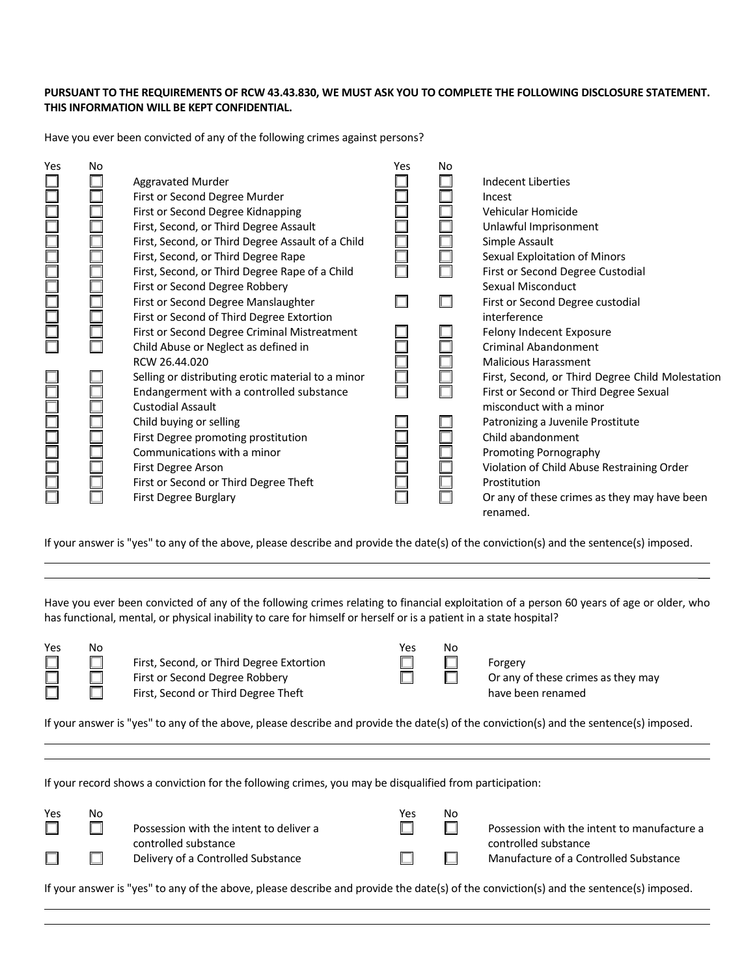## **PURSUANT TO THE REQUIREMENTS OF RCW 43.43.830, WE MUST ASK YOU TO COMPLETE THE FOLLOWING DISCLOSURE STATEMENT. THIS INFORMATION WILL BE KEPT CONFIDENTIAL.**

Have you ever been convicted of any of the following crimes against persons?

| Yes               | No |                                                    | Yes | No |                                                  |
|-------------------|----|----------------------------------------------------|-----|----|--------------------------------------------------|
|                   |    | <b>Aggravated Murder</b>                           |     |    | <b>Indecent Liberties</b>                        |
|                   |    | First or Second Degree Murder                      |     |    | Incest                                           |
|                   |    | First or Second Degree Kidnapping                  |     |    | Vehicular Homicide                               |
|                   |    | First, Second, or Third Degree Assault             |     |    | Unlawful Imprisonment                            |
|                   |    | First, Second, or Third Degree Assault of a Child  |     |    | Simple Assault                                   |
|                   |    | First, Second, or Third Degree Rape                |     |    | Sexual Exploitation of Minors                    |
|                   |    | First, Second, or Third Degree Rape of a Child     |     |    | First or Second Degree Custodial                 |
|                   |    | First or Second Degree Robbery                     |     |    | Sexual Misconduct                                |
| ooor aanooo       |    | First or Second Degree Manslaughter                |     |    | First or Second Degree custodial                 |
|                   |    | First or Second of Third Degree Extortion          |     |    | interference                                     |
|                   |    | First or Second Degree Criminal Mistreatment       |     |    | Felony Indecent Exposure                         |
|                   |    | Child Abuse or Neglect as defined in               |     |    | Criminal Abandonment                             |
|                   |    | RCW 26.44.020                                      |     |    | <b>Malicious Harassment</b>                      |
|                   |    | Selling or distributing erotic material to a minor |     |    | First, Second, or Third Degree Child Molestation |
|                   |    | Endangerment with a controlled substance           |     |    | First or Second or Third Degree Sexual           |
|                   |    | <b>Custodial Assault</b>                           |     |    | misconduct with a minor                          |
|                   |    | Child buying or selling                            |     |    | Patronizing a Juvenile Prostitute                |
|                   |    | First Degree promoting prostitution                |     |    | Child abandonment                                |
|                   |    | Communications with a minor                        |     |    | Promoting Pornography                            |
|                   |    | First Degree Arson                                 |     |    | Violation of Child Abuse Restraining Order       |
| u u u u u u u u u |    | First or Second or Third Degree Theft              |     |    | Prostitution                                     |
|                   |    | First Degree Burglary                              |     |    | Or any of these crimes as they may have been     |
|                   |    |                                                    |     |    | renamed.                                         |

If your answer is "yes" to any of the above, please describe and provide the date(s) of the conviction(s) and the sentence(s) imposed.

Have you ever been convicted of any of the following crimes relating to financial exploitation of a person 60 years of age or older, who has functional, mental, or physical inability to care for himself or herself or is a patient in a state hospital?

| Yes    | N٥ |                                          | Yes | No |
|--------|----|------------------------------------------|-----|----|
| $\Box$ |    | First, Second, or Third Degree Extortion |     |    |
| $\Box$ |    | First or Second Degree Robbery           |     |    |
| $\Box$ |    | First, Second or Third Degree Theft      |     |    |

First, Second, or Third Degree Extortion  $\Box$   $\Box$  Forgery<br>First or Second Degree Robbery  $\Box$   $\Box$  Or any c First or Second Degree Robbery  $\Box$   $\Box$  Or any of these crimes as they may First, Second or Third Degree Theft have been renamed have been renamed

|  |  | N |
|--|--|---|
|  |  | L |
|  |  | Γ |
|  |  |   |

 $\overline{a}$ 

If your answer is "yes" to any of the above, please describe and provide the date(s) of the conviction(s) and the sentence(s) imposed.

If your record shows a conviction for the following crimes, you may be disqualified from participation:

| Yes | Nο |                                                                 | Yes | Nο |                                                                     |
|-----|----|-----------------------------------------------------------------|-----|----|---------------------------------------------------------------------|
|     |    | Possession with the intent to deliver a<br>controlled substance |     |    | Possession with the intent to manufacture a<br>controlled substance |
|     |    | Delivery of a Controlled Substance                              |     |    | Manufacture of a Controlled Substance                               |

If your answer is "yes" to any of the above, please describe and provide the date(s) of the conviction(s) and the sentence(s) imposed.